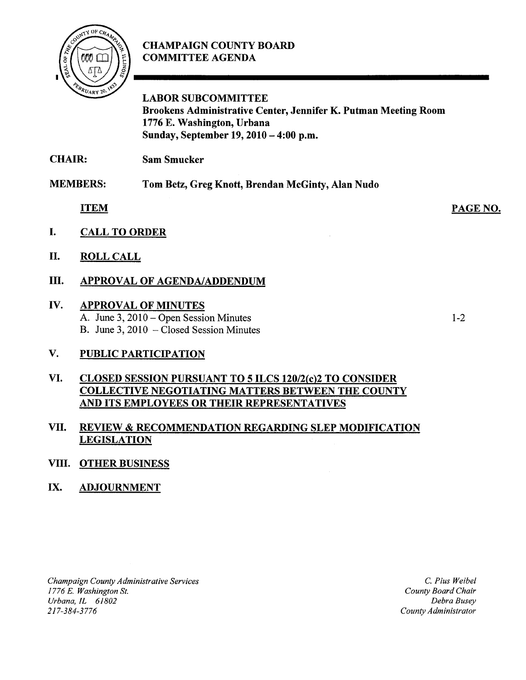

# CHAMPAIGN COUNTY BOARD COMMITTEE AGENDA

LABOR SUBCOMMITTEE Brookens Administrative Center, Jennifer K. Putman Meeting Room 1776 E. Washington, Urbana Sunday, September 19, 2010 - 4:00 p.m.

CHAIR: Sam Smucker

MEMBERS: Tom Betz, Greg Knott, Brendan McGinty, Alan Nudo

ITEM

- I. CALL TO ORDER
- II. ROLL CALL

## III. APPROVAL OF AGENDA/ADDENDUM

#### IV. APPROVAL OF MINUTES A. June 3, 2010 – Open Session Minutes

B. June 3, 2010 – Closed Session Minutes

1-2

PAGE NO.

# V. PUBLIC PARTICIPATION

## VI. CLOSED SESSION PURSUANT TO 5 ILCS 120/2(c)2 TO CONSIDER COLLECTIVE NEGOTIATING MATTERS BETWEEN THE COUNTY AND ITS EMPLOYEES OR THEIR REPRESENTATIVES

### VII. REVIEW & RECOMMENDATION REGARDING SLEP MODIFICATION **LEGISLATION**

### VIII. OTHER BUSINESS

# IX. ADJOURNMENT

*Champaign County Administrative Services 1776 E. Washington* St. *Urbana, 1L 61802*  217-384-3776

C. *Pius Weibel County Board Chair Debra Busey County Administrator*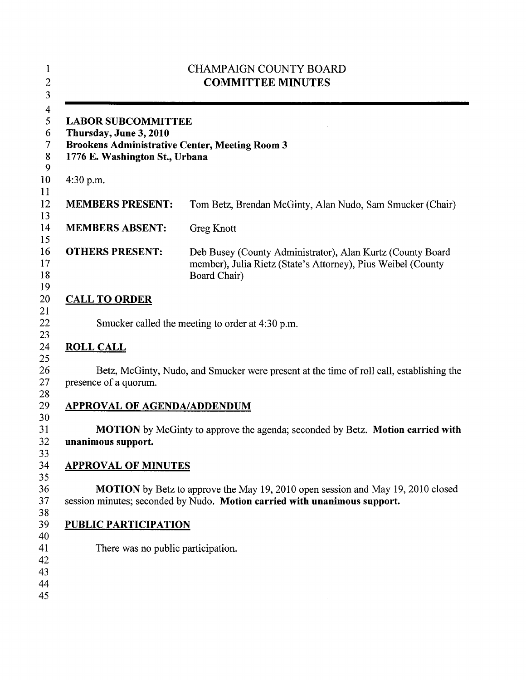| <b>LABOR SUBCOMMITTEE</b><br>Thursday, June 3, 2010<br><b>Brookens Administrative Center, Meeting Room 3</b><br>1776 E. Washington St., Urbana |                                                                                                                                            |
|------------------------------------------------------------------------------------------------------------------------------------------------|--------------------------------------------------------------------------------------------------------------------------------------------|
| 4:30 p.m.                                                                                                                                      |                                                                                                                                            |
| <b>MEMBERS PRESENT:</b>                                                                                                                        | Tom Betz, Brendan McGinty, Alan Nudo, Sam Smucker (Chair)                                                                                  |
| <b>MEMBERS ABSENT:</b>                                                                                                                         | <b>Greg Knott</b>                                                                                                                          |
| <b>OTHERS PRESENT:</b>                                                                                                                         | Deb Busey (County Administrator), Alan Kurtz (County Board<br>member), Julia Rietz (State's Attorney), Pius Weibel (County<br>Board Chair) |
| <b>CALL TO ORDER</b>                                                                                                                           |                                                                                                                                            |
|                                                                                                                                                | Smucker called the meeting to order at 4:30 p.m.                                                                                           |
| <b>ROLL CALL</b>                                                                                                                               |                                                                                                                                            |
|                                                                                                                                                | Betz, McGinty, Nudo, and Smucker were present at the time of roll call, establishing the                                                   |
| presence of a quorum.                                                                                                                          |                                                                                                                                            |
| <b>APPROVAL OF AGENDA/ADDENDUM</b>                                                                                                             |                                                                                                                                            |
| unanimous support.                                                                                                                             |                                                                                                                                            |
| <b>APPROVAL OF MINUTES</b>                                                                                                                     | <b>MOTION</b> by McGinty to approve the agenda; seconded by Betz. Motion carried with                                                      |
|                                                                                                                                                | session minutes; seconded by Nudo. Motion carried with unanimous support.                                                                  |
| <b>PUBLIC PARTICIPATION</b>                                                                                                                    | <b>MOTION</b> by Betz to approve the May 19, 2010 open session and May 19, 2010 closed                                                     |